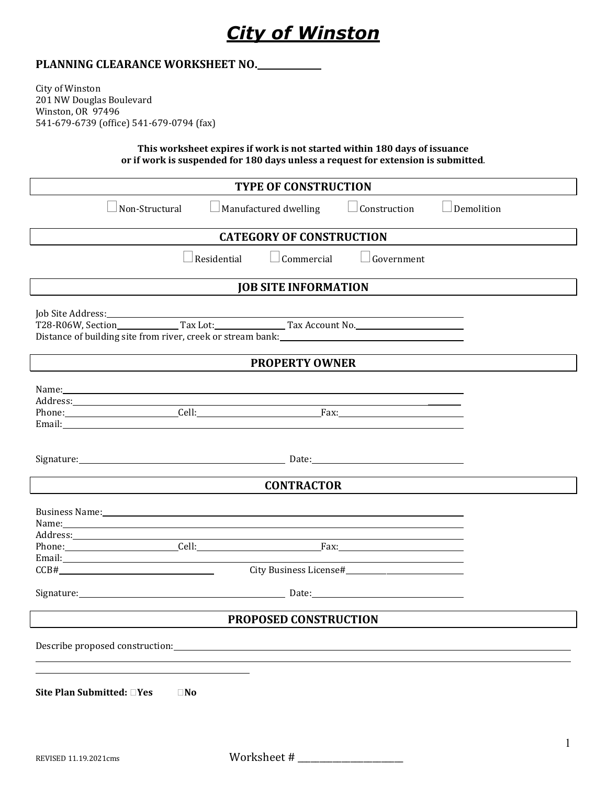

#### **PLANNING CLEARANCE WORKSHEET NO.**

City of Winston 201 NW Douglas Boulevard Winston, OR 97496 541-679-6739 (office) 541-679-0794 (fax)

> **This worksheet expires if work is not started within 180 days of issuance or if work is suspended for 180 days unless a request for extension is submitted**.

| <b>TYPE OF CONSTRUCTION</b>                                                                                                                                                                                                                                                                                                                                                                                                                                                                                                                                                                                      |                                         |                     |                   |  |  |
|------------------------------------------------------------------------------------------------------------------------------------------------------------------------------------------------------------------------------------------------------------------------------------------------------------------------------------------------------------------------------------------------------------------------------------------------------------------------------------------------------------------------------------------------------------------------------------------------------------------|-----------------------------------------|---------------------|-------------------|--|--|
| Non-Structural                                                                                                                                                                                                                                                                                                                                                                                                                                                                                                                                                                                                   | $\Box$ Manufactured dwelling            | $\Box$ Construction | $\Box$ Demolition |  |  |
| <b>CATEGORY OF CONSTRUCTION</b>                                                                                                                                                                                                                                                                                                                                                                                                                                                                                                                                                                                  |                                         |                     |                   |  |  |
|                                                                                                                                                                                                                                                                                                                                                                                                                                                                                                                                                                                                                  | $\Box$ Residential<br>$\Box$ Commercial | Government          |                   |  |  |
| <b>JOB SITE INFORMATION</b>                                                                                                                                                                                                                                                                                                                                                                                                                                                                                                                                                                                      |                                         |                     |                   |  |  |
| T28-R06W, Section______________Tax Lot:________________Tax Account No.______________________________<br><b>PROPERTY OWNER</b>                                                                                                                                                                                                                                                                                                                                                                                                                                                                                    |                                         |                     |                   |  |  |
|                                                                                                                                                                                                                                                                                                                                                                                                                                                                                                                                                                                                                  |                                         |                     |                   |  |  |
| Phone: Cell: Cell: Fax: Fax:<br>Email: Email: The Contract of the Contract of the Contract of the Contract of the Contract of the Contract of the Contract of the Contract of the Contract of the Contract of the Contract of the Contract of the Contract of                                                                                                                                                                                                                                                                                                                                                    |                                         |                     |                   |  |  |
| Signature: Date: Date: Date: Date: Date: Date: Date: Date: Date: Date: Date: Date: Date: Date: Date: Date: Date: Date: Date: Date: Date: Date: Date: Date: Date: Date: Date: Date: Date: Date: Date: Date: Date: Date: Date: D                                                                                                                                                                                                                                                                                                                                                                                   |                                         |                     |                   |  |  |
| <b>CONTRACTOR</b>                                                                                                                                                                                                                                                                                                                                                                                                                                                                                                                                                                                                |                                         |                     |                   |  |  |
| Business Name: 1996 and 2008 and 2009 and 2009 and 2009 and 2009 and 2009 and 2009 and 2009 and 2009 and 2009<br>Name: Name: Name: Name: Name: Name: Name: Name: Name: Name: Name: Name: Name: Name: Name: Name: Name: Name: Name: Name: Name: Name: Name: Name: Name: Name: Name: Name: Name: Name: Name: Name: Name: Name: Name: Name: Name:<br>Address: Address: Address: Address: Address: Address: Address: Address: Address: Address: Address: Address: Address: Address: Address: Address: Address: Address: Address: Address: Address: Address: Address: Address: Addres<br>Phone: Cell: Cell: Fax: Fax: |                                         |                     |                   |  |  |
| Email: The Commission of the Commission of the Commission of the Commission of the Commission of the Commission<br>CCB#                                                                                                                                                                                                                                                                                                                                                                                                                                                                                          |                                         |                     |                   |  |  |
| Signature: <u>Contract Communications</u> Cate: Date: Date: Communications Communications Communications Communications Communications Communications Communications Communications Communications Communications Communications Co                                                                                                                                                                                                                                                                                                                                                                              |                                         |                     |                   |  |  |
| PROPOSED CONSTRUCTION                                                                                                                                                                                                                                                                                                                                                                                                                                                                                                                                                                                            |                                         |                     |                   |  |  |
| Describe proposed construction:                                                                                                                                                                                                                                                                                                                                                                                                                                                                                                                                                                                  |                                         |                     |                   |  |  |
| Site Plan Submitted: □Yes<br>$\square$ No                                                                                                                                                                                                                                                                                                                                                                                                                                                                                                                                                                        |                                         |                     |                   |  |  |

REVISED 11.19.2021cms Worksheet # \_\_\_\_\_\_\_\_\_\_\_\_\_\_\_\_\_\_\_\_\_\_\_\_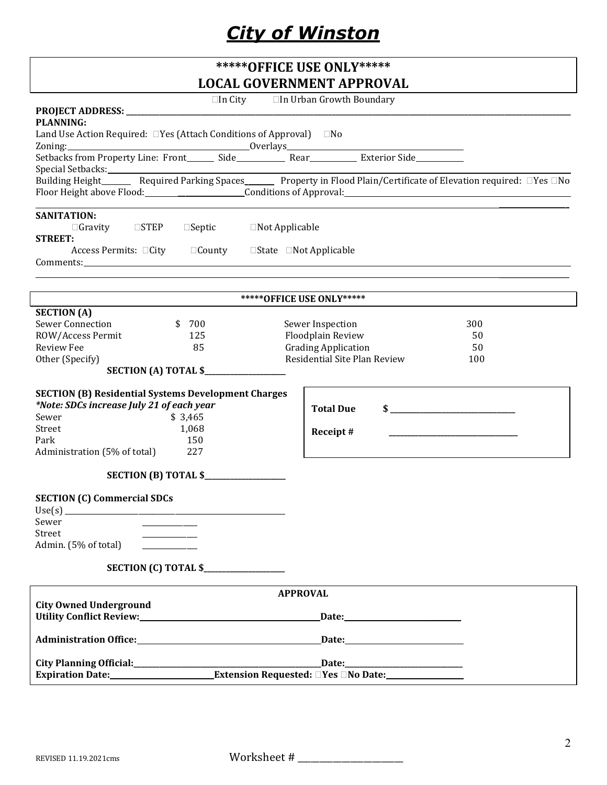# *City of Winston*

| *****OFFICE USE ONLY*****                                                                                                                                                                                                                                                                                                                                                                                                                                                                                                                           |                                                                                                                                                                                                                     |  |  |  |  |
|-----------------------------------------------------------------------------------------------------------------------------------------------------------------------------------------------------------------------------------------------------------------------------------------------------------------------------------------------------------------------------------------------------------------------------------------------------------------------------------------------------------------------------------------------------|---------------------------------------------------------------------------------------------------------------------------------------------------------------------------------------------------------------------|--|--|--|--|
| <b>LOCAL GOVERNMENT APPROVAL</b>                                                                                                                                                                                                                                                                                                                                                                                                                                                                                                                    |                                                                                                                                                                                                                     |  |  |  |  |
|                                                                                                                                                                                                                                                                                                                                                                                                                                                                                                                                                     | $\Box$ In City $\Box$ In Urban Growth Boundary                                                                                                                                                                      |  |  |  |  |
| <b>PLANNING:</b>                                                                                                                                                                                                                                                                                                                                                                                                                                                                                                                                    |                                                                                                                                                                                                                     |  |  |  |  |
| Land Use Action Required: □ Yes (Attach Conditions of Approval) □ No                                                                                                                                                                                                                                                                                                                                                                                                                                                                                |                                                                                                                                                                                                                     |  |  |  |  |
| $\begin{tabular}{l c} \multicolumn{2}{c}{\text{Zoning:}} \\ \multicolumn{2}{c}{\text{Sethacks from Property Line: Front}} & \multicolumn{2}{c}{\text{Side}} \\ \multicolumn{2}{c}{\text{Neular}} & \multicolumn{2}{c}{\text{Rear}} \\ \multicolumn{2}{c}{\text{Exterior Side}} \\ \multicolumn{2}{c}{\text{Nederium Property Line: Front}} & \multicolumn{2}{c}{\text{Side}} \\ \multicolumn{2}{c}{\text{Nederium}} & \multicolumn{2}{c}{\text{Rear}} \\ \multicolumn{2}{c}{\text{Exterior Side}} \\ \multicolumn{2}{c}{\text{Nederium}} & \multic$ |                                                                                                                                                                                                                     |  |  |  |  |
|                                                                                                                                                                                                                                                                                                                                                                                                                                                                                                                                                     |                                                                                                                                                                                                                     |  |  |  |  |
|                                                                                                                                                                                                                                                                                                                                                                                                                                                                                                                                                     | $\begin{array}{ll} \text{Special Setbacks:}\qquad \qquad \text{Required Parking Spaces}\qquad \qquad \text{Property in Flood Plain/Certificate of Elevation required:}\ \Box \text{Yes}\ \Box \text{No}\end{array}$ |  |  |  |  |
|                                                                                                                                                                                                                                                                                                                                                                                                                                                                                                                                                     | Floor Height above Flood: Conditions of Approval: Conditions 1 Approval:                                                                                                                                            |  |  |  |  |
|                                                                                                                                                                                                                                                                                                                                                                                                                                                                                                                                                     |                                                                                                                                                                                                                     |  |  |  |  |
| <b>SANITATION:</b>                                                                                                                                                                                                                                                                                                                                                                                                                                                                                                                                  |                                                                                                                                                                                                                     |  |  |  |  |
| $\Box$ Gravity $\Box$ STEP $\Box$ Septic $\Box$ Not Applicable                                                                                                                                                                                                                                                                                                                                                                                                                                                                                      |                                                                                                                                                                                                                     |  |  |  |  |
| <b>STREET:</b>                                                                                                                                                                                                                                                                                                                                                                                                                                                                                                                                      |                                                                                                                                                                                                                     |  |  |  |  |
| Access Permits: □City □ County □ State □ Not Applicable                                                                                                                                                                                                                                                                                                                                                                                                                                                                                             |                                                                                                                                                                                                                     |  |  |  |  |
|                                                                                                                                                                                                                                                                                                                                                                                                                                                                                                                                                     |                                                                                                                                                                                                                     |  |  |  |  |
|                                                                                                                                                                                                                                                                                                                                                                                                                                                                                                                                                     |                                                                                                                                                                                                                     |  |  |  |  |
|                                                                                                                                                                                                                                                                                                                                                                                                                                                                                                                                                     | ****** OFFICE USE ONLY*****                                                                                                                                                                                         |  |  |  |  |
| <b>SECTION</b> (A)                                                                                                                                                                                                                                                                                                                                                                                                                                                                                                                                  |                                                                                                                                                                                                                     |  |  |  |  |
| <b>Sewer Connection</b><br>\$700                                                                                                                                                                                                                                                                                                                                                                                                                                                                                                                    | Sewer Inspection<br>300                                                                                                                                                                                             |  |  |  |  |
| ROW/Access Permit<br>125                                                                                                                                                                                                                                                                                                                                                                                                                                                                                                                            | Floodplain Review<br>50                                                                                                                                                                                             |  |  |  |  |
| <b>Review Fee</b><br>85                                                                                                                                                                                                                                                                                                                                                                                                                                                                                                                             | <b>Grading Application</b><br>50                                                                                                                                                                                    |  |  |  |  |
| Other (Specify)                                                                                                                                                                                                                                                                                                                                                                                                                                                                                                                                     | Residential Site Plan Review<br>100                                                                                                                                                                                 |  |  |  |  |
| <b>SECTION (A) TOTAL \$</b>                                                                                                                                                                                                                                                                                                                                                                                                                                                                                                                         |                                                                                                                                                                                                                     |  |  |  |  |
| <b>SECTION (B) Residential Systems Development Charges</b>                                                                                                                                                                                                                                                                                                                                                                                                                                                                                          |                                                                                                                                                                                                                     |  |  |  |  |
| *Note: SDCs increase July 21 of each year                                                                                                                                                                                                                                                                                                                                                                                                                                                                                                           | <b>Total Due</b><br>$\sim$ $\sim$                                                                                                                                                                                   |  |  |  |  |
| \$3,465<br>Sewer                                                                                                                                                                                                                                                                                                                                                                                                                                                                                                                                    |                                                                                                                                                                                                                     |  |  |  |  |
| 1,068<br>Street                                                                                                                                                                                                                                                                                                                                                                                                                                                                                                                                     | Receipt#                                                                                                                                                                                                            |  |  |  |  |
| 150<br>Park                                                                                                                                                                                                                                                                                                                                                                                                                                                                                                                                         |                                                                                                                                                                                                                     |  |  |  |  |
| Administration (5% of total)<br>227                                                                                                                                                                                                                                                                                                                                                                                                                                                                                                                 |                                                                                                                                                                                                                     |  |  |  |  |
|                                                                                                                                                                                                                                                                                                                                                                                                                                                                                                                                                     |                                                                                                                                                                                                                     |  |  |  |  |
|                                                                                                                                                                                                                                                                                                                                                                                                                                                                                                                                                     |                                                                                                                                                                                                                     |  |  |  |  |
| <b>SECTION (C) Commercial SDCs</b>                                                                                                                                                                                                                                                                                                                                                                                                                                                                                                                  |                                                                                                                                                                                                                     |  |  |  |  |
|                                                                                                                                                                                                                                                                                                                                                                                                                                                                                                                                                     |                                                                                                                                                                                                                     |  |  |  |  |
| Sewer                                                                                                                                                                                                                                                                                                                                                                                                                                                                                                                                               |                                                                                                                                                                                                                     |  |  |  |  |
| Street                                                                                                                                                                                                                                                                                                                                                                                                                                                                                                                                              |                                                                                                                                                                                                                     |  |  |  |  |
| Admin. (5% of total)                                                                                                                                                                                                                                                                                                                                                                                                                                                                                                                                |                                                                                                                                                                                                                     |  |  |  |  |
|                                                                                                                                                                                                                                                                                                                                                                                                                                                                                                                                                     |                                                                                                                                                                                                                     |  |  |  |  |
| SECTION (C) TOTAL \$                                                                                                                                                                                                                                                                                                                                                                                                                                                                                                                                |                                                                                                                                                                                                                     |  |  |  |  |
|                                                                                                                                                                                                                                                                                                                                                                                                                                                                                                                                                     | <b>APPROVAL</b>                                                                                                                                                                                                     |  |  |  |  |
| <b>City Owned Underground</b>                                                                                                                                                                                                                                                                                                                                                                                                                                                                                                                       |                                                                                                                                                                                                                     |  |  |  |  |
| Utility Conflict Review: Marketing and Marketing and Marketing and Marketing and Marketing and Marketing and Ma                                                                                                                                                                                                                                                                                                                                                                                                                                     |                                                                                                                                                                                                                     |  |  |  |  |
|                                                                                                                                                                                                                                                                                                                                                                                                                                                                                                                                                     |                                                                                                                                                                                                                     |  |  |  |  |
| Administration Office: National Administration Office:                                                                                                                                                                                                                                                                                                                                                                                                                                                                                              |                                                                                                                                                                                                                     |  |  |  |  |
|                                                                                                                                                                                                                                                                                                                                                                                                                                                                                                                                                     |                                                                                                                                                                                                                     |  |  |  |  |
| Expiration Date: Extension Requested: New Date:                                                                                                                                                                                                                                                                                                                                                                                                                                                                                                     | Date:                                                                                                                                                                                                               |  |  |  |  |
|                                                                                                                                                                                                                                                                                                                                                                                                                                                                                                                                                     |                                                                                                                                                                                                                     |  |  |  |  |

REVISED 11.19.2021cms Worksheet # \_\_\_\_\_\_\_\_\_\_\_\_\_\_\_\_\_\_\_\_\_\_\_\_